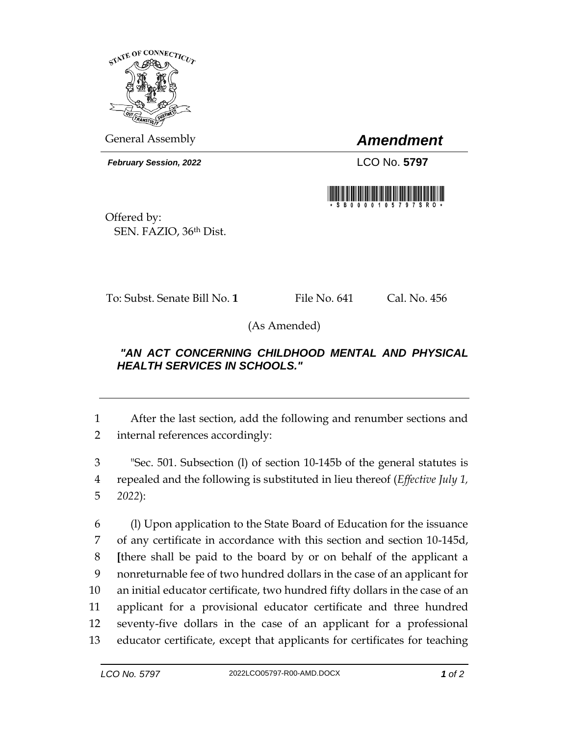

General Assembly *Amendment*

*February Session, 2022* LCO No. 5797



Offered by: SEN. FAZIO, 36th Dist.

To: Subst. Senate Bill No. **1** File No. 641 Cal. No. 456

(As Amended)

## *"AN ACT CONCERNING CHILDHOOD MENTAL AND PHYSICAL HEALTH SERVICES IN SCHOOLS."*

1 After the last section, add the following and renumber sections and 2 internal references accordingly:

3 "Sec. 501. Subsection (l) of section 10-145b of the general statutes is 4 repealed and the following is substituted in lieu thereof (*Effective July 1,*  5 *2022*):

 (l) Upon application to the State Board of Education for the issuance of any certificate in accordance with this section and section 10-145d, **[**there shall be paid to the board by or on behalf of the applicant a nonreturnable fee of two hundred dollars in the case of an applicant for an initial educator certificate, two hundred fifty dollars in the case of an applicant for a provisional educator certificate and three hundred seventy-five dollars in the case of an applicant for a professional educator certificate, except that applicants for certificates for teaching